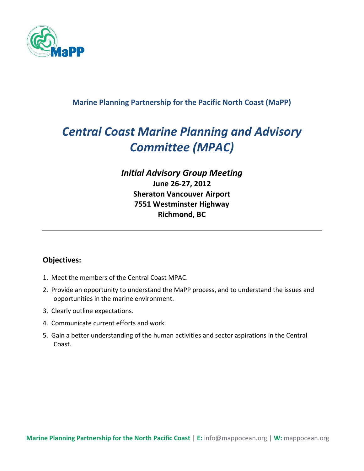

#### **Marine Planning Partnership for the Pacific North Coast (MaPP)**

# *Central Coast Marine Planning and Advisory Committee (MPAC)*

## *Initial Advisory Group Meeting*  **June 26-27, 2012 Sheraton Vancouver Airport 7551 Westminster Highway Richmond, BC**

#### **Objectives:**

- 1. Meet the members of the Central Coast MPAC.
- 2. Provide an opportunity to understand the MaPP process, and to understand the issues and opportunities in the marine environment.
- 3. Clearly outline expectations.
- 4. Communicate current efforts and work.
- 5. Gain a better understanding of the human activities and sector aspirations in the Central Coast.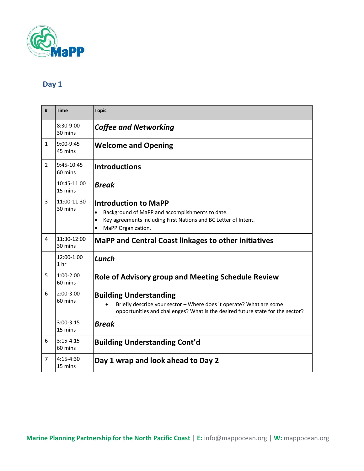

## **Day 1**

| #              | <b>Time</b>                   | <b>Topic</b>                                                                                                                                                                                      |
|----------------|-------------------------------|---------------------------------------------------------------------------------------------------------------------------------------------------------------------------------------------------|
|                | 8:30-9:00<br>30 mins          | <b>Coffee and Networking</b>                                                                                                                                                                      |
| $\mathbf{1}$   | $9:00 - 9:45$<br>45 mins      | <b>Welcome and Opening</b>                                                                                                                                                                        |
| $\overline{2}$ | 9:45-10:45<br>60 mins         | <b>Introductions</b>                                                                                                                                                                              |
|                | 10:45-11:00<br>15 mins        | <b>Break</b>                                                                                                                                                                                      |
| 3              | 11:00-11:30<br>30 mins        | <b>Introduction to MaPP</b><br>Background of MaPP and accomplishments to date.<br>$\bullet$<br>Key agreements including First Nations and BC Letter of Intent.<br>$\bullet$<br>MaPP Organization. |
| 4              | 11:30-12:00<br>30 mins        | <b>MaPP and Central Coast linkages to other initiatives</b>                                                                                                                                       |
|                | 12:00-1:00<br>1 <sub>hr</sub> | Lunch                                                                                                                                                                                             |
| 5.             | $1:00-2:00$<br>60 mins        | <b>Role of Advisory group and Meeting Schedule Review</b>                                                                                                                                         |
| 6              | $2:00-3:00$<br>60 mins        | <b>Building Understanding</b><br>Briefly describe your sector - Where does it operate? What are some<br>opportunities and challenges? What is the desired future state for the sector?            |
|                | $3:00-3:15$<br>15 mins        | <b>Break</b>                                                                                                                                                                                      |
| 6              | $3:15-4:15$<br>60 mins        | <b>Building Understanding Cont'd</b>                                                                                                                                                              |
| 7              | $4:15-4:30$<br>15 mins        | Day 1 wrap and look ahead to Day 2                                                                                                                                                                |